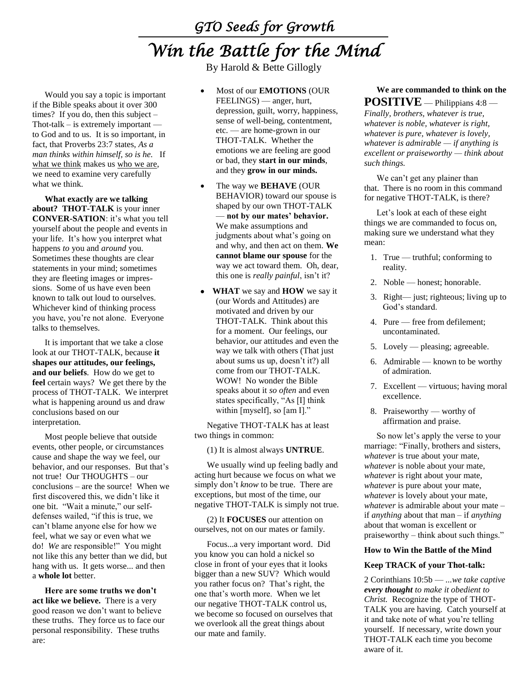# *GTO Seeds for Growth Win the Battle for the Mind*

By Harold & Bette Gillogly

Would you say a topic is important if the Bible speaks about it over 300 times? If you do, then this subject – Thot-talk – is extremely important to God and to us. It is so important, in fact, that Proverbs 23:7 states, *As a man thinks within himself, so is he.* If what we think makes us who we are, we need to examine very carefully what we think.

**What exactly are we talking about? THOT-TALK** is your inner **CONVER-SATION**: it's what you tell yourself about the people and events in your life. It's how you interpret what happens *to* you and *around* you. Sometimes these thoughts are clear statements in your mind; sometimes they are fleeting images or impressions. Some of us have even been known to talk out loud to ourselves. Whichever kind of thinking process you have, you're not alone. Everyone talks to themselves.

It is important that we take a close look at our THOT-TALK, because **it shapes our attitudes, our feelings, and our beliefs**. How do we get to **feel** certain ways? We get there by the process of THOT-TALK. We interpret what is happening around us and draw conclusions based on our interpretation.

Most people believe that outside events, other people, or circumstances cause and shape the way we feel, our behavior, and our responses. But that's not true! Our THOUGHTS – our conclusions – are the source! When we first discovered this, we didn't like it one bit. "Wait a minute," our selfdefenses wailed, "if this is true, we can't blame anyone else for how we feel, what we say or even what we do! *We* are responsible!" You might not like this any better than we did, but hang with us. It gets worse... and then a **whole lot** better.

**Here are some truths we don't act like we believe.** There is a very good reason we don't want to believe these truths. They force us to face our personal responsibility. These truths are:

- Most of our **EMOTIONS** (OUR FEELINGS) — anger, hurt, depression, guilt, worry, happiness, sense of well-being, contentment, etc. — are home-grown in our THOT-TALK. Whether the emotions we are feeling are good or bad, they **start in our minds**, and they **grow in our minds.**
- The way we **BEHAVE** (OUR BEHAVIOR) toward our spouse is shaped by our own THOT-TALK — **not by our mates' behavior.** We make assumptions and judgments about what's going on and why, and then act on them. **We cannot blame our spouse** for the way we act toward them. Oh, dear, this one is *really painful*, isn't it?
- **WHAT** we say and **HOW** we say it (our Words and Attitudes) are motivated and driven by our THOT-TALK. Think about this for a moment. Our feelings, our behavior, our attitudes and even the way we talk with others (That just about sums us up, doesn't it?) all come from our THOT-TALK. WOW! No wonder the Bible speaks about it *so often* and even states specifically, "As [I] think within [myself], so [am I]."

Negative THOT-TALK has at least two things in common:

(1) It is almost always **UNTRUE**.

We usually wind up feeling badly and acting hurt because we focus on what we simply don't *know* to be true. There are exceptions, but most of the time, our negative THOT-TALK is simply not true.

(2) It **FOCUSES** our attention on ourselves, not on our mates or family.

Focus...a very important word. Did you know you can hold a nickel so close in front of your eyes that it looks bigger than a new SUV? Which would you rather focus on? That's right, the one that's worth more. When we let our negative THOT-TALK control us, we become so focused on ourselves that we overlook all the great things about our mate and family.

**We are commanded to think on the POSITIVE** — Philippians 4:8 —

*Finally, brothers, whatever is true, whatever is noble, whatever is right, whatever is pure, whatever is lovely, whatever is admirable — if anything is excellent or praiseworthy — think about such things.*

We can't get any plainer than that. There is no room in this command for negative THOT-TALK, is there?

Let's look at each of these eight things we are commanded to focus on, making sure we understand what they mean:

- 1. True truthful; conforming to reality.
- 2. Noble honest; honorable.
- 3. Right— just; righteous; living up to God's standard.
- 4. Pure free from defilement; uncontaminated.
- 5. Lovely pleasing; agreeable.
- 6. Admirable known to be worthy of admiration.
- 7. Excellent virtuous; having moral excellence.
- 8. Praiseworthy worthy of affirmation and praise.

So now let's apply the verse to your marriage: "Finally, brothers and sisters, *whatever* is true about your mate, *whatever* is noble about your mate, *whatever* is right about your mate, *whatever* is pure about your mate, *whatever* is lovely about your mate, *whatever* is admirable about your mate – if *anything* about that man – if *anything* about that woman is excellent or praiseworthy – think about such things."

## **How to Win the Battle of the Mind**

## **Keep TRACK of your Thot-talk:**

2 Corinthians 10:5b — *...we take captive every thought to make it obedient to Christ.* Recognize the type of THOT-TALK you are having. Catch yourself at it and take note of what you're telling yourself. If necessary, write down your THOT-TALK each time you become aware of it.